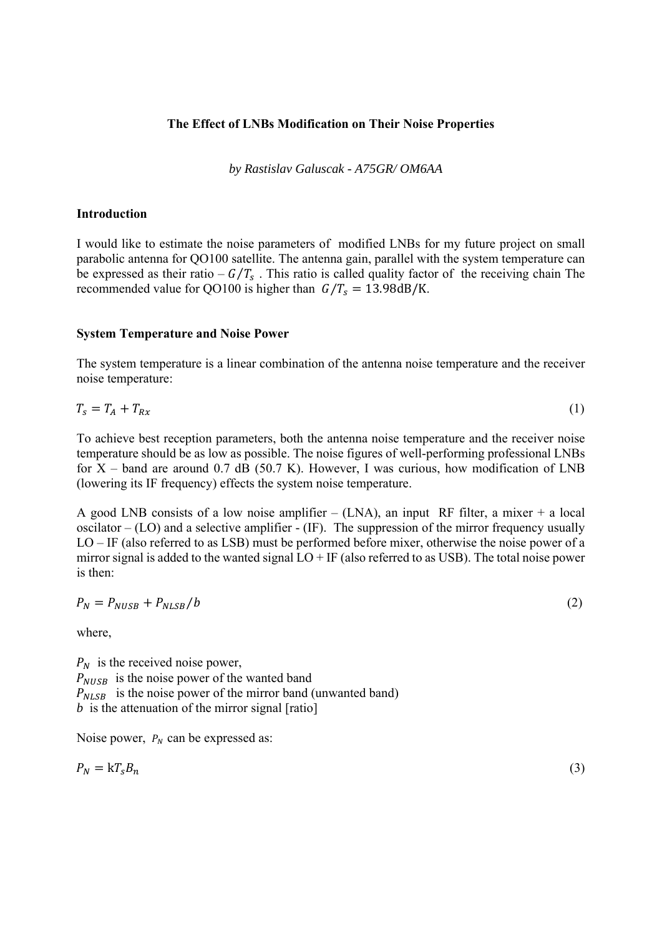### **The Effect of LNBs Modification on Their Noise Properties**

*by Rastislav Galuscak - A75GR/ OM6AA* 

### **Introduction**

I would like to estimate the noise parameters of modified LNBs for my future project on small parabolic antenna for QO100 satellite. The antenna gain, parallel with the system temperature can be expressed as their ratio –  $G/T_s$ . This ratio is called quality factor of the receiving chain The recommended value for QO100 is higher than  $G/T_s = 13.98 \text{dB/K}$ .

### **System Temperature and Noise Power**

The system temperature is a linear combination of the antenna noise temperature and the receiver noise temperature:

$$
T_s = T_A + T_{Rx} \tag{1}
$$

To achieve best reception parameters, both the antenna noise temperature and the receiver noise temperature should be as low as possible. The noise figures of well-performing professional LNBs for  $X$  – band are around 0.7 dB (50.7 K). However, I was curious, how modification of LNB (lowering its IF frequency) effects the system noise temperature.

A good LNB consists of a low noise amplifier – (LNA), an input RF filter, a mixer + a local oscilator  $-$  (LO) and a selective amplifier  $-$  (IF). The suppression of the mirror frequency usually LO – IF (also referred to as LSB) must be performed before mixer, otherwise the noise power of a mirror signal is added to the wanted signal  $LO + IF$  (also referred to as USB). The total noise power is then:

$$
P_N = P_{NUSB} + P_{NLSB}/b \tag{2}
$$

where,

 $P_N$  is the received noise power,  $P_{NUSB}$  is the noise power of the wanted band  $P_{NLSB}$  is the noise power of the mirror band (unwanted band) *b* is the attenuation of the mirror signal [ratio]

Noise power,  $P_N$  can be expressed as:

$$
P_N = kT_s B_n \tag{3}
$$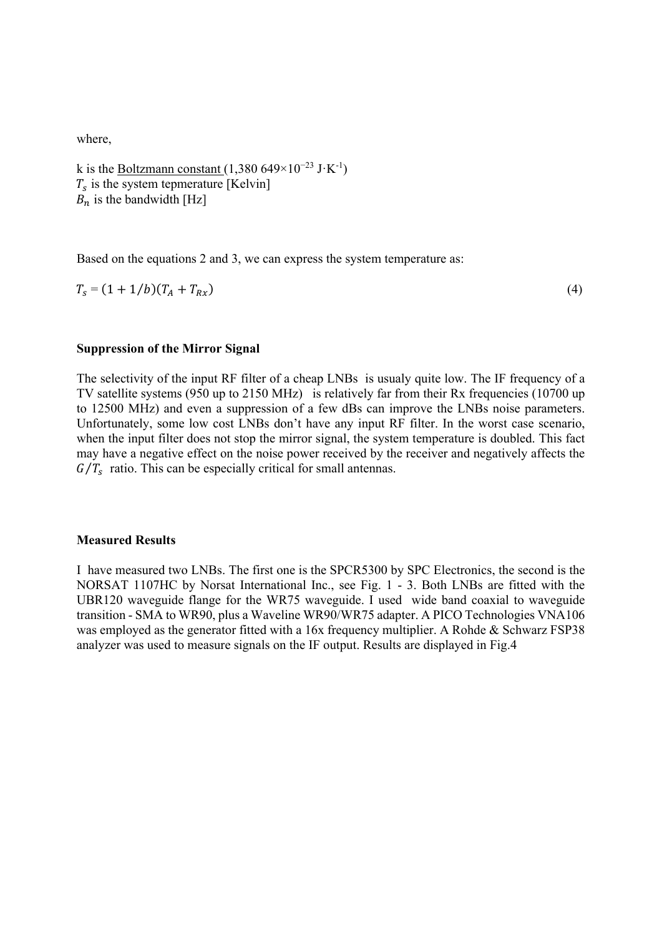where,

k is the Boltzmann constant (1,380 649×10<sup>-23</sup> J⋅K<sup>-1</sup>)  $T_s$  is the system tepmerature [Kelvin]  $B_n$  is the bandwidth [Hz]

Based on the equations 2 and 3, we can express the system temperature as:

 $T_s = (1 + 1/b)(T_A + T_{Rx})$  (4)

## **Suppression of the Mirror Signal**

The selectivity of the input RF filter of a cheap LNBs is usualy quite low. The IF frequency of a TV satellite systems (950 up to 2150 MHz) is relatively far from their Rx frequencies (10700 up to 12500 MHz) and even a suppression of a few dBs can improve the LNBs noise parameters. Unfortunately, some low cost LNBs don't have any input RF filter. In the worst case scenario, when the input filter does not stop the mirror signal, the system temperature is doubled. This fact may have a negative effect on the noise power received by the receiver and negatively affects the  $G/T_s$  ratio. This can be especially critical for small antennas.

## **Measured Results**

I have measured two LNBs. The first one is the SPCR5300 by SPC Electronics, the second is the NORSAT 1107HC by Norsat International Inc., see Fig. 1 - 3. Both LNBs are fitted with the UBR120 waveguide flange for the WR75 waveguide. I used wide band coaxial to waveguide transition - SMA to WR90, plus a Waveline WR90/WR75 adapter. A PICO Technologies VNA106 was employed as the generator fitted with a 16x frequency multiplier. A Rohde & Schwarz FSP38 analyzer was used to measure signals on the IF output. Results are displayed in Fig.4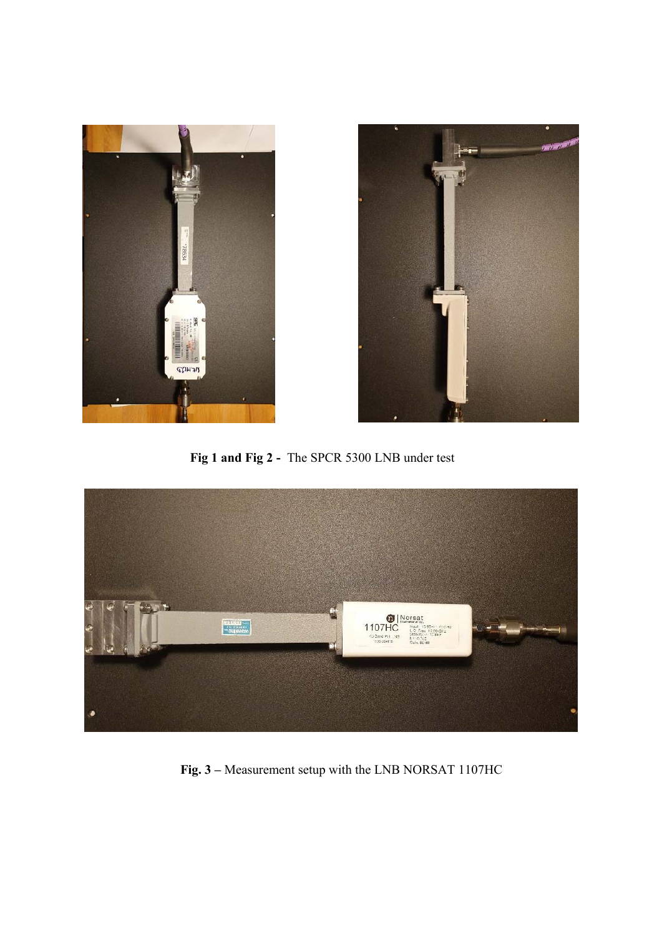



 **Fig 1 and Fig 2 -** The SPCR 5300 LNB under test



 **Fig. 3 –** Measurement setup with the LNB NORSAT 1107HC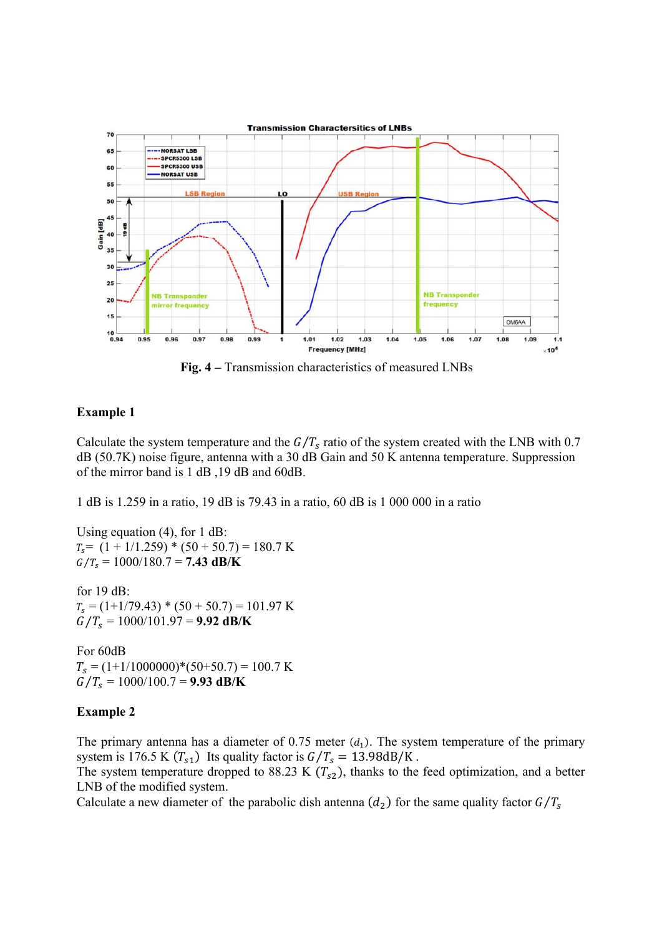

 **Fig. 4 –** Transmission characteristics of measured LNBs

# **Example 1**

Calculate the system temperature and the  $G/T_s$  ratio of the system created with the LNB with 0.7 dB (50.7K) noise figure, antenna with a 30 dB Gain and 50 K antenna temperature. Suppression of the mirror band is 1 dB ,19 dB and 60dB.

1 dB is 1.259 in a ratio, 19 dB is 79.43 in a ratio, 60 dB is 1 000 000 in a ratio

Using equation (4), for 1 dB:  $T_s = (1 + 1/1.259) * (50 + 50.7) = 180.7$  K  $G/T_s = 1000/180.7 = 7.43 \text{ dB/K}$ 

for 19 dB:  $T_s = (1 + 1/79.43) * (50 + 50.7) = 101.97$  K  $G/T_s = 1000/101.97 = 9.92$  dB/K

For 60dB  $T_s = (1+1/1000000)^*(50+50.7) = 100.7$  K  $G/T_s = 1000/100.7 = 9.93$  dB/K

## **Example 2**

The primary antenna has a diameter of 0.75 meter  $(d_1)$ . The system temperature of the primary system is 176.5 K  $(T<sub>s1</sub>)$  Its quality factor is  $G/T<sub>s</sub> = 13.98dB/K$ .

The system temperature dropped to 88.23 K  $(T_{s2})$ , thanks to the feed optimization, and a better LNB of the modified system.

Calculate a new diameter of the parabolic dish antenna  $(d_2)$  for the same quality factor  $G/T_s$